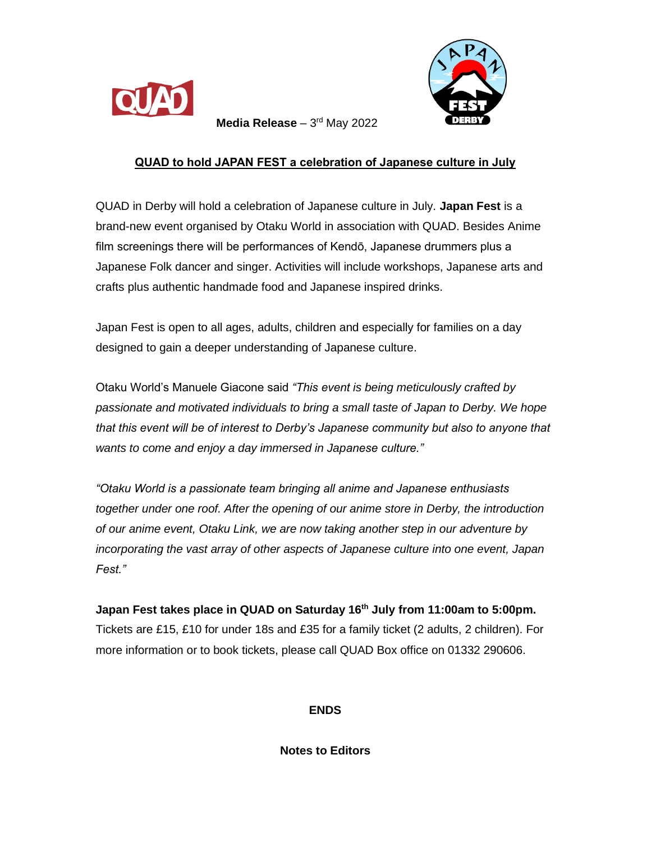



**Media Release** – 3rd May 2022

## **QUAD to hold JAPAN FEST a celebration of Japanese culture in July**

QUAD in Derby will hold a celebration of Japanese culture in July. **Japan Fest** is a brand-new event organised by Otaku World in association with QUAD. Besides Anime film screenings there will be performances of Kendō, Japanese drummers plus a Japanese Folk dancer and singer. Activities will include workshops, Japanese arts and crafts plus authentic handmade food and Japanese inspired drinks.

Japan Fest is open to all ages, adults, children and especially for families on a day designed to gain a deeper understanding of Japanese culture.

Otaku World's Manuele Giacone said *"This event is being meticulously crafted by passionate and motivated individuals to bring a small taste of Japan to Derby. We hope that this event will be of interest to Derby's Japanese community but also to anyone that wants to come and enjoy a day immersed in Japanese culture."*

*"Otaku World is a passionate team bringing all anime and Japanese enthusiasts together under one roof. After the opening of our anime store in Derby, the introduction of our anime event, Otaku Link, we are now taking another step in our adventure by incorporating the vast array of other aspects of Japanese culture into one event, Japan Fest."*

**Japan Fest takes place in QUAD on Saturday 16th July from 11:00am to 5:00pm.** Tickets are £15, £10 for under 18s and £35 for a family ticket (2 adults, 2 children). For more information or to book tickets, please call QUAD Box office on 01332 290606.

**ENDS**

**Notes to Editors**